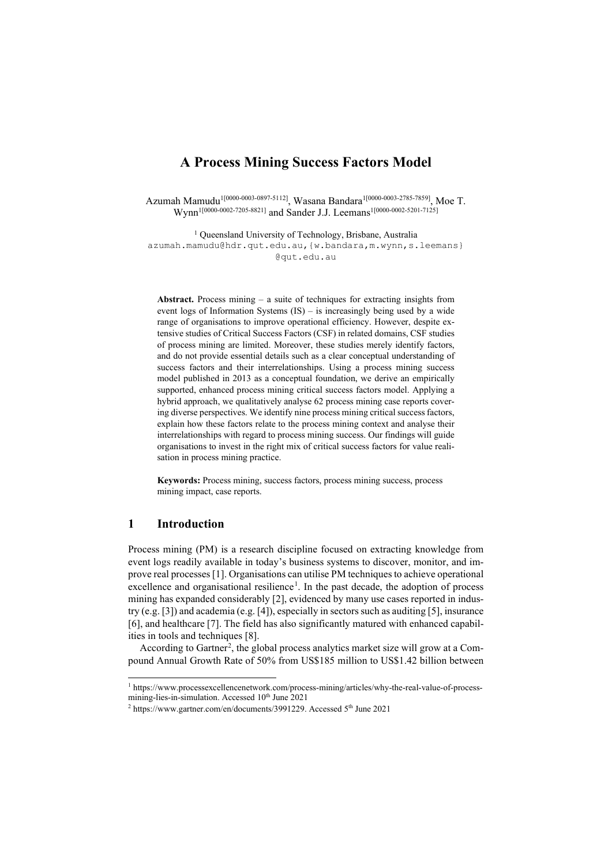# **A Process Mining Success Factors Model**

Azumah Mamudu<sup>1[0000-0003-0897-5112]</sup>, Wasana Bandara<sup>1[0000-0003-2785-7859]</sup>, Moe T. Wynn<sup>1[0000-0002-7205-8821]</sup> and Sander J.J. Leemans<sup>1[0000-0002-5201-7125]</sup>

<sup>1</sup> Queensland University of Technology, Brisbane, Australia azumah.mamudu@hdr.qut.edu.au,{w.bandara,m.wynn,s.leemans} @qut.edu.au

**Abstract.** Process mining – a suite of techniques for extracting insights from event logs of Information Systems (IS) – is increasingly being used by a wide range of organisations to improve operational efficiency. However, despite extensive studies of Critical Success Factors (CSF) in related domains, CSF studies of process mining are limited. Moreover, these studies merely identify factors, and do not provide essential details such as a clear conceptual understanding of success factors and their interrelationships. Using a process mining success model published in 2013 as a conceptual foundation, we derive an empirically supported, enhanced process mining critical success factors model. Applying a hybrid approach, we qualitatively analyse 62 process mining case reports covering diverse perspectives. We identify nine process mining critical success factors, explain how these factors relate to the process mining context and analyse their interrelationships with regard to process mining success. Our findings will guide organisations to invest in the right mix of critical success factors for value realisation in process mining practice.

**Keywords:** Process mining, success factors, process mining success, process mining impact, case reports.

## **1 Introduction**

Process mining (PM) is a research discipline focused on extracting knowledge from event logs readily available in today's business systems to discover, monitor, and improve real processes [1]. Organisations can utilise PM techniques to achieve operational excellence and organisational resilience<sup>[1](#page-0-0)</sup>. In the past decade, the adoption of process mining has expanded considerably [2], evidenced by many use cases reported in industry (e.g. [3]) and academia (e.g. [4]), especially in sectors such as auditing [5], insurance [6], and healthcare [7]. The field has also significantly matured with enhanced capabilities in tools and techniques [8].

According to Gartner<sup>[2](#page-0-1)</sup>, the global process analytics market size will grow at a Compound Annual Growth Rate of 50% from US\$185 million to US\$1.42 billion between

<span id="page-0-0"></span><sup>1</sup> [https://www.processexcellencenetwork.com/process-mining/articles/why-the-real-value-of-process](https://www.processexcellencenetwork.com/process-mining/articles/why-the-real-value-of-process-mining-lies-in-simulation)[mining-lies-in-simulation.](https://www.processexcellencenetwork.com/process-mining/articles/why-the-real-value-of-process-mining-lies-in-simulation) Accessed 10<sup>th</sup> June 2021

<span id="page-0-1"></span> $2$  [https://www.gartner.com/en/documents/3991229.](https://www.gartner.com/en/documents/3991229) Accessed  $5<sup>th</sup>$  June 2021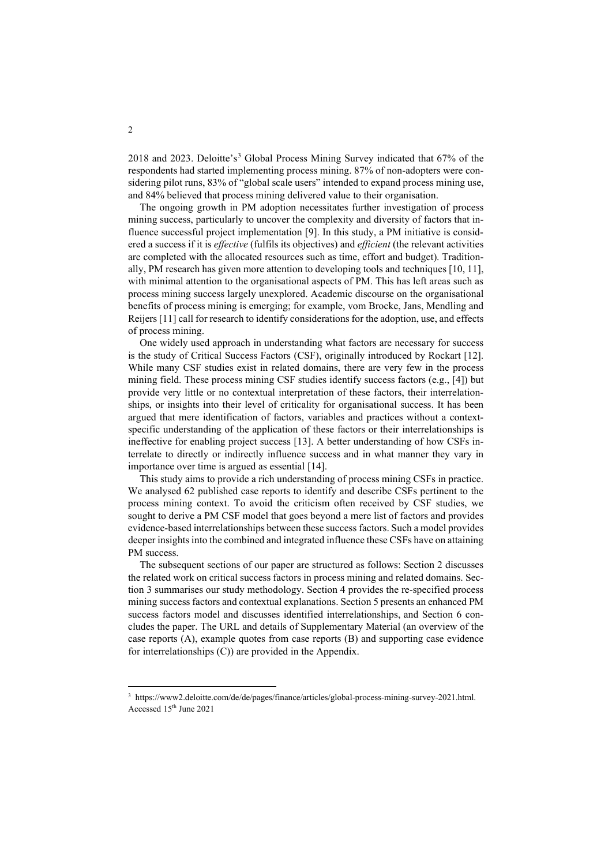2018 and 2023. Deloitte's<sup>3</sup> Global Process Mining Survey indicated that  $67\%$  of the respondents had started implementing process mining. 87% of non-adopters were considering pilot runs, 83% of "global scale users" intended to expand process mining use, and 84% believed that process mining delivered value to their organisation.

The ongoing growth in PM adoption necessitates further investigation of process mining success, particularly to uncover the complexity and diversity of factors that influence successful project implementation [9]. In this study, a PM initiative is considered a success if it is *effective* (fulfils its objectives) and *efficient* (the relevant activities are completed with the allocated resources such as time, effort and budget). Traditionally, PM research has given more attention to developing tools and techniques [10, 11], with minimal attention to the organisational aspects of PM. This has left areas such as process mining success largely unexplored. Academic discourse on the organisational benefits of process mining is emerging; for example, vom Brocke, Jans, Mendling and Reijers [11] call for research to identify considerations for the adoption, use, and effects of process mining.

One widely used approach in understanding what factors are necessary for success is the study of Critical Success Factors (CSF), originally introduced by Rockart [12]. While many CSF studies exist in related domains, there are very few in the process mining field. These process mining CSF studies identify success factors (e.g., [4]) but provide very little or no contextual interpretation of these factors, their interrelationships, or insights into their level of criticality for organisational success. It has been argued that mere identification of factors, variables and practices without a contextspecific understanding of the application of these factors or their interrelationships is ineffective for enabling project success [13]. A better understanding of how CSFs interrelate to directly or indirectly influence success and in what manner they vary in importance over time is argued as essential [14].

This study aims to provide a rich understanding of process mining CSFs in practice. We analysed 62 published case reports to identify and describe CSFs pertinent to the process mining context. To avoid the criticism often received by CSF studies, we sought to derive a PM CSF model that goes beyond a mere list of factors and provides evidence-based interrelationships between these success factors. Such a model provides deeper insights into the combined and integrated influence these CSFs have on attaining PM success.

The subsequent sections of our paper are structured as follows: Section 2 discusses the related work on critical success factors in process mining and related domains. Section 3 summarises our study methodology. Section 4 provides the re-specified process mining success factors and contextual explanations. Section 5 presents an enhanced PM success factors model and discusses identified interrelationships, and Section 6 concludes the paper. The URL and details of Supplementary Material (an overview of the case reports (A), example quotes from case reports (B) and supporting case evidence for interrelationships (C)) are provided in the Appendix.

<span id="page-1-0"></span><sup>3</sup> \_https://www2.deloitte.com/de/de/pages/finance/articles/global-process-mining-survey-2021.html. Accessed 15th June 2021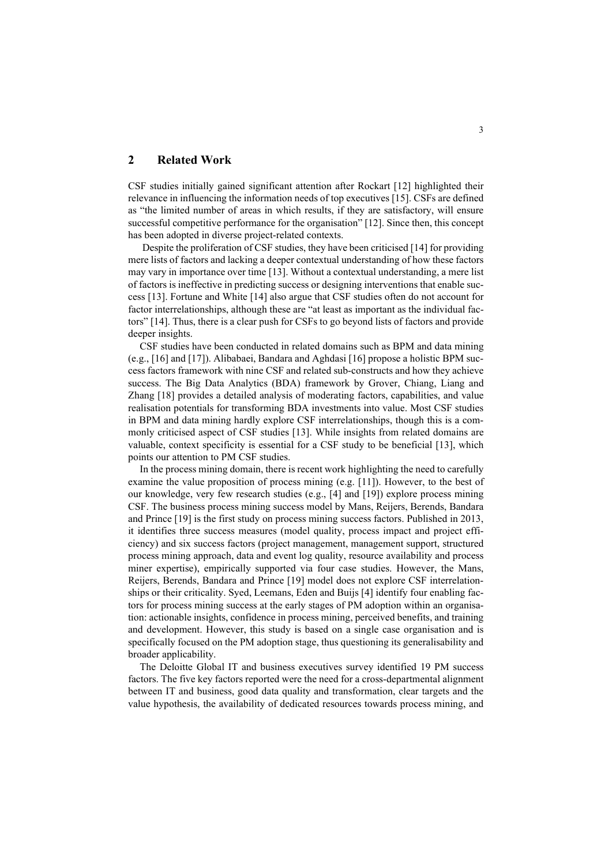# **2 Related Work**

CSF studies initially gained significant attention after Rockart [12] highlighted their relevance in influencing the information needs of top executives [15]. CSFs are defined as "the limited number of areas in which results, if they are satisfactory, will ensure successful competitive performance for the organisation" [12]. Since then, this concept has been adopted in diverse project-related contexts.

Despite the proliferation of CSF studies, they have been criticised [14] for providing mere lists of factors and lacking a deeper contextual understanding of how these factors may vary in importance over time [13]. Without a contextual understanding, a mere list of factors is ineffective in predicting success or designing interventions that enable success [13]. Fortune and White [14] also argue that CSF studies often do not account for factor interrelationships, although these are "at least as important as the individual factors" [14]. Thus, there is a clear push for CSFs to go beyond lists of factors and provide deeper insights.

CSF studies have been conducted in related domains such as BPM and data mining (e.g., [16] and [17]). Alibabaei, Bandara and Aghdasi [16] propose a holistic BPM success factors framework with nine CSF and related sub-constructs and how they achieve success. The Big Data Analytics (BDA) framework by Grover, Chiang, Liang and Zhang [18] provides a detailed analysis of moderating factors, capabilities, and value realisation potentials for transforming BDA investments into value. Most CSF studies in BPM and data mining hardly explore CSF interrelationships, though this is a commonly criticised aspect of CSF studies [13]. While insights from related domains are valuable, context specificity is essential for a CSF study to be beneficial [13], which points our attention to PM CSF studies.

In the process mining domain, there is recent work highlighting the need to carefully examine the value proposition of process mining (e.g. [11]). However, to the best of our knowledge, very few research studies (e.g., [4] and [19]) explore process mining CSF. The business process mining success model by Mans, Reijers, Berends, Bandara and Prince [19] is the first study on process mining success factors. Published in 2013, it identifies three success measures (model quality, process impact and project efficiency) and six success factors (project management, management support, structured process mining approach, data and event log quality, resource availability and process miner expertise), empirically supported via four case studies. However, the Mans, Reijers, Berends, Bandara and Prince [19] model does not explore CSF interrelationships or their criticality. Syed, Leemans, Eden and Buijs [4] identify four enabling factors for process mining success at the early stages of PM adoption within an organisation: actionable insights, confidence in process mining, perceived benefits, and training and development. However, this study is based on a single case organisation and is specifically focused on the PM adoption stage, thus questioning its generalisability and broader applicability.

The Deloitte Global IT and business executives survey identified 19 PM success factors. The five key factors reported were the need for a cross-departmental alignment between IT and business, good data quality and transformation, clear targets and the value hypothesis, the availability of dedicated resources towards process mining, and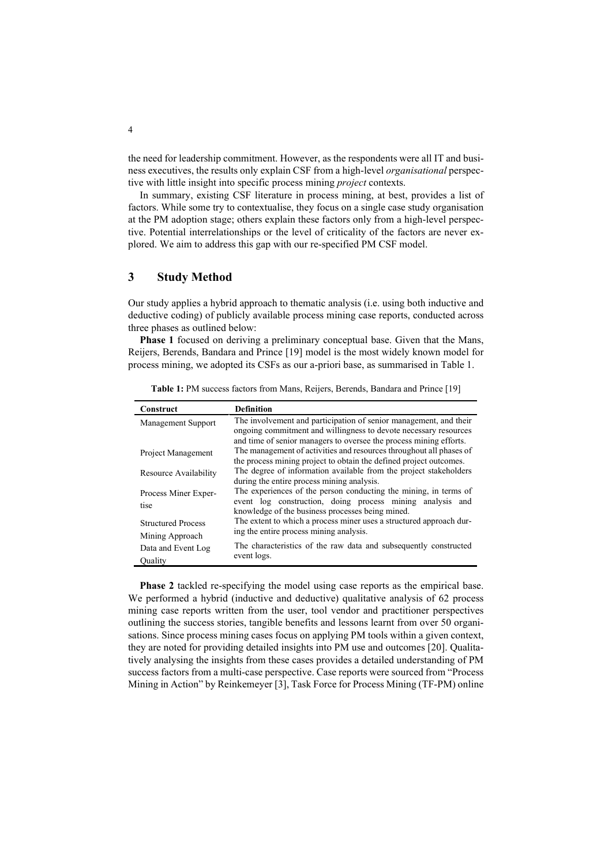the need for leadership commitment. However, as the respondents were all IT and business executives, the results only explain CSF from a high-level *organisational* perspective with little insight into specific process mining *project* contexts.

In summary, existing CSF literature in process mining, at best, provides a list of factors. While some try to contextualise, they focus on a single case study organisation at the PM adoption stage; others explain these factors only from a high-level perspective. Potential interrelationships or the level of criticality of the factors are never explored. We aim to address this gap with our re-specified PM CSF model.

# **3 Study Method**

Our study applies a hybrid approach to thematic analysis (i.e. using both inductive and deductive coding) of publicly available process mining case reports, conducted across three phases as outlined below:

**Phase 1** focused on deriving a preliminary conceptual base. Given that the Mans, Reijers, Berends, Bandara and Prince [19] model is the most widely known model for process mining, we adopted its CSFs as our a-priori base, as summarised in Table 1.

| Construct                 | <b>Definition</b>                                                                                                                                                                                           |
|---------------------------|-------------------------------------------------------------------------------------------------------------------------------------------------------------------------------------------------------------|
| Management Support        | The involvement and participation of senior management, and their<br>ongoing commitment and willingness to devote necessary resources<br>and time of senior managers to oversee the process mining efforts. |
| Project Management        | The management of activities and resources throughout all phases of<br>the process mining project to obtain the defined project outcomes.                                                                   |
| Resource Availability     | The degree of information available from the project stakeholders<br>during the entire process mining analysis.                                                                                             |
| Process Miner Exper-      | The experiences of the person conducting the mining, in terms of                                                                                                                                            |
| tise                      | event log construction, doing process mining analysis and<br>knowledge of the business processes being mined.                                                                                               |
| <b>Structured Process</b> | The extent to which a process miner uses a structured approach dur-                                                                                                                                         |
| Mining Approach           | ing the entire process mining analysis.                                                                                                                                                                     |
| Data and Event Log        | The characteristics of the raw data and subsequently constructed                                                                                                                                            |
| Ouality                   | event logs.                                                                                                                                                                                                 |

**Table 1:** PM success factors from Mans, Reijers, Berends, Bandara and Prince [19]

**Phase 2** tackled re-specifying the model using case reports as the empirical base. We performed a hybrid (inductive and deductive) qualitative analysis of 62 process mining case reports written from the user, tool vendor and practitioner perspectives outlining the success stories, tangible benefits and lessons learnt from over 50 organisations. Since process mining cases focus on applying PM tools within a given context, they are noted for providing detailed insights into PM use and outcomes [20]. Qualitatively analysing the insights from these cases provides a detailed understanding of PM success factors from a multi-case perspective. Case reports were sourced from "Process Mining in Action" by Reinkemeyer [3], Task Force for Process Mining (TF-PM) online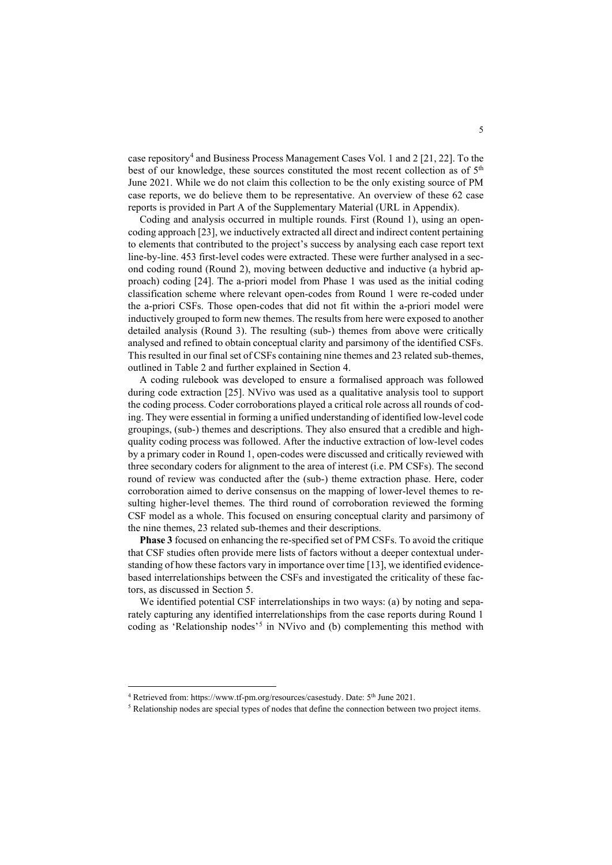case repository[4](#page-4-0) and Business Process Management Cases Vol. 1 and 2 [21, 22]. To the best of our knowledge, these sources constituted the most recent collection as of 5<sup>th</sup> June 2021. While we do not claim this collection to be the only existing source of PM case reports, we do believe them to be representative. An overview of these 62 case reports is provided in Part A of the Supplementary Material (URL in Appendix).

Coding and analysis occurred in multiple rounds. First (Round 1), using an opencoding approach [23], we inductively extracted all direct and indirect content pertaining to elements that contributed to the project's success by analysing each case report text line-by-line. 453 first-level codes were extracted. These were further analysed in a second coding round (Round 2), moving between deductive and inductive (a hybrid approach) coding [24]. The a-priori model from Phase 1 was used as the initial coding classification scheme where relevant open-codes from Round 1 were re-coded under the a-priori CSFs. Those open-codes that did not fit within the a-priori model were inductively grouped to form new themes. The results from here were exposed to another detailed analysis (Round 3). The resulting (sub-) themes from above were critically analysed and refined to obtain conceptual clarity and parsimony of the identified CSFs. This resulted in our final set of CSFs containing nine themes and 23 related sub-themes, outlined in Table 2 and further explained in Section 4.

A coding rulebook was developed to ensure a formalised approach was followed during code extraction [25]. NVivo was used as a qualitative analysis tool to support the coding process. Coder corroborations played a critical role across all rounds of coding. They were essential in forming a unified understanding of identified low-level code groupings, (sub-) themes and descriptions. They also ensured that a credible and highquality coding process was followed. After the inductive extraction of low-level codes by a primary coder in Round 1, open-codes were discussed and critically reviewed with three secondary coders for alignment to the area of interest (i.e. PM CSFs). The second round of review was conducted after the (sub-) theme extraction phase. Here, coder corroboration aimed to derive consensus on the mapping of lower-level themes to resulting higher-level themes. The third round of corroboration reviewed the forming CSF model as a whole. This focused on ensuring conceptual clarity and parsimony of the nine themes, 23 related sub-themes and their descriptions.

**Phase 3** focused on enhancing the re-specified set of PM CSFs. To avoid the critique that CSF studies often provide mere lists of factors without a deeper contextual understanding of how these factors vary in importance over time [13], we identified evidencebased interrelationships between the CSFs and investigated the criticality of these factors, as discussed in Section 5.

We identified potential CSF interrelationships in two ways: (a) by noting and separately capturing any identified interrelationships from the case reports during Round 1 coding as 'Relationship nodes'<sup>[5](#page-4-1)</sup> in NVivo and (b) complementing this method with

<span id="page-4-0"></span><sup>&</sup>lt;sup>4</sup> Retrieved from: [https://www.tf-pm.org/resources/casestudy.](https://www.tf-pm.org/resources/casestudy) Date: 5<sup>th</sup> June 2021.

<span id="page-4-1"></span><sup>5</sup> Relationship nodes are special types of nodes that define the connection between two project items.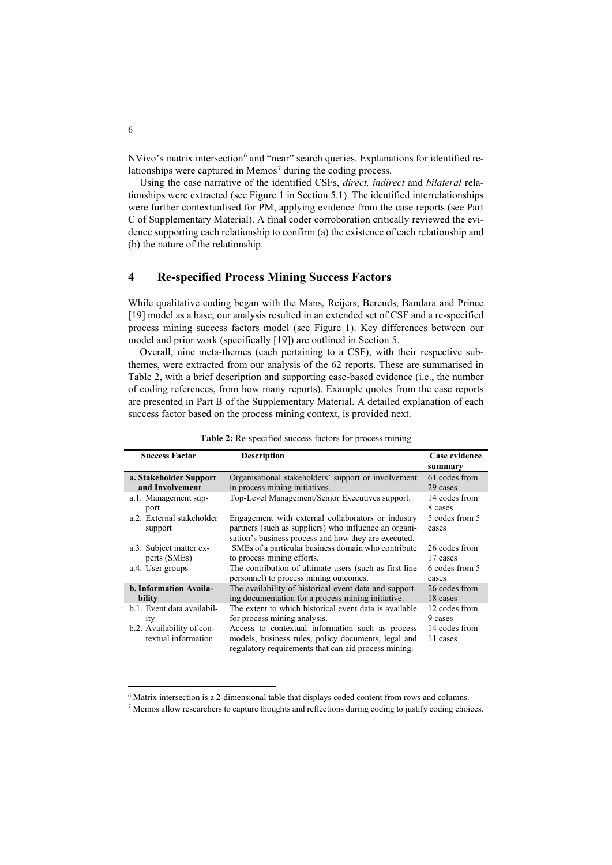NVivo's matrix intersection<sup>[6](#page-5-0)</sup> and "near" search queries. Explanations for identified re-lationships were captured in Memos<sup>[7](#page-5-1)</sup> during the coding process.

Using the case narrative of the identified CSFs, *direct, indirect* and *bilateral* relationships were extracted (see Figure 1 in Section 5.1). The identified interrelationships were further contextualised for PM, applying evidence from the case reports (see Part C of Supplementary Material). A final coder corroboration critically reviewed the evidence supporting each relationship to confirm (a) the existence of each relationship and (b) the nature of the relationship.

### **4 Re-specified Process Mining Success Factors**

While qualitative coding began with the Mans, Reijers, Berends, Bandara and Prince [19] model as a base, our analysis resulted in an extended set of CSF and a re-specified process mining success factors model (see Figure 1). Key differences between our model and prior work (specifically [19]) are outlined in Section 5.

Overall, nine meta-themes (each pertaining to a CSF), with their respective subthemes, were extracted from our analysis of the 62 reports. These are summarised in Table 2, with a brief description and supporting case-based evidence (i.e., the number of coding references, from how many reports). Example quotes from the case reports are presented in Part B of the Supplementary Material. A detailed explanation of each success factor based on the process mining context, is provided next.

| <b>Success Factor</b>                            | <b>Description</b>                                                                                                                                                  | Case evidence<br>summary  |
|--------------------------------------------------|---------------------------------------------------------------------------------------------------------------------------------------------------------------------|---------------------------|
| a. Stakeholder Support<br>and Involvement        | Organisational stakeholders' support or involvement<br>in process mining initiatives.                                                                               | 61 codes from<br>29 cases |
| a.1. Management sup-<br>port                     | Top-Level Management/Senior Executives support.                                                                                                                     | 14 codes from<br>8 cases  |
| a.2. External stakeholder<br>support             | Engagement with external collaborators or industry<br>partners (such as suppliers) who influence an organi-<br>sation's business process and how they are executed. | 5 codes from 5<br>cases   |
| a.3. Subject matter ex-<br>perts (SMEs)          | SMEs of a particular business domain who contribute<br>to process mining efforts.                                                                                   | 26 codes from<br>17 cases |
| a.4. User groups                                 | The contribution of ultimate users (such as first-line<br>personnel) to process mining outcomes.                                                                    | 6 codes from 5<br>cases   |
| <b>b. Information Availa-</b><br>bility          | The availability of historical event data and support-<br>ing documentation for a process mining initiative.                                                        | 26 codes from<br>18 cases |
| b.1. Event data availabil-<br>ity                | The extent to which historical event data is available<br>for process mining analysis.                                                                              | 12 codes from<br>9 cases  |
| b.2. Availability of con-<br>textual information | Access to contextual information such as process<br>models, business rules, policy documents, legal and<br>regulatory requirements that can aid process mining.     | 14 codes from<br>11 cases |

**Table 2:** Re-specified success factors for process mining

<span id="page-5-0"></span><sup>6</sup> Matrix intersection is a 2-dimensional table that displays coded content from rows and columns.

<span id="page-5-1"></span><sup>7</sup> Memos allow researchers to capture thoughts and reflections during coding to justify coding choices.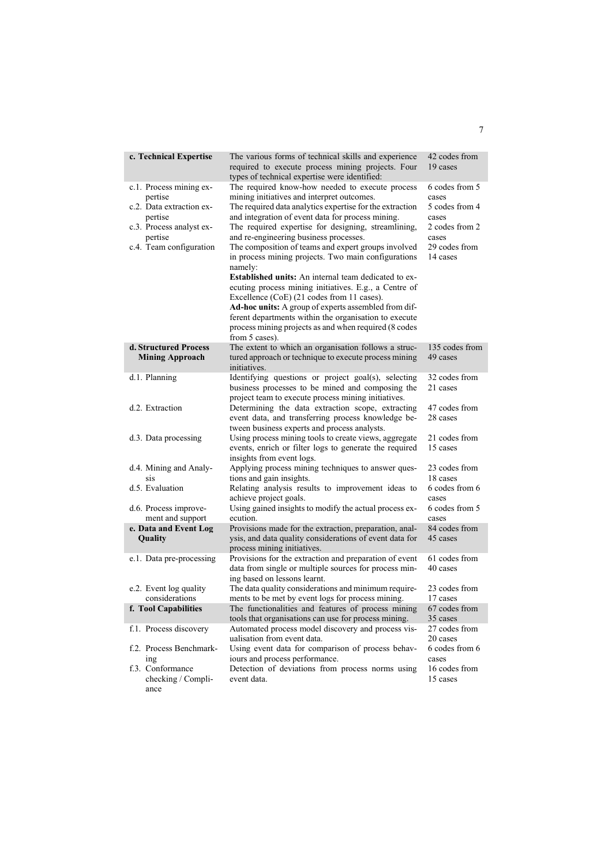| c. Technical Expertise                                                                                                                      | The various forms of technical skills and experience<br>required to execute process mining projects. Four<br>types of technical expertise were identified:                                                                                                                                                                                                                                                                                                                                                                                                                                                                                                                                                                                                                                                 | 42 codes from<br>19 cases                                                                                  |
|---------------------------------------------------------------------------------------------------------------------------------------------|------------------------------------------------------------------------------------------------------------------------------------------------------------------------------------------------------------------------------------------------------------------------------------------------------------------------------------------------------------------------------------------------------------------------------------------------------------------------------------------------------------------------------------------------------------------------------------------------------------------------------------------------------------------------------------------------------------------------------------------------------------------------------------------------------------|------------------------------------------------------------------------------------------------------------|
| c.1. Process mining ex-<br>pertise<br>c.2. Data extraction ex-<br>pertise<br>c.3. Process analyst ex-<br>pertise<br>c.4. Team configuration | The required know-how needed to execute process<br>mining initiatives and interpret outcomes.<br>The required data analytics expertise for the extraction<br>and integration of event data for process mining.<br>The required expertise for designing, streamlining,<br>and re-engineering business processes.<br>The composition of teams and expert groups involved<br>in process mining projects. Two main configurations<br>namely:<br><b>Established units:</b> An internal team dedicated to ex-<br>ecuting process mining initiatives. E.g., a Centre of<br>Excellence (CoE) (21 codes from 11 cases).<br>Ad-hoc units: A group of experts assembled from dif-<br>ferent departments within the organisation to execute<br>process mining projects as and when required (8 codes<br>from 5 cases). | 6 codes from 5<br>cases<br>5 codes from 4<br>cases<br>2 codes from 2<br>cases<br>29 codes from<br>14 cases |
| d. Structured Process<br><b>Mining Approach</b>                                                                                             | The extent to which an organisation follows a struc-<br>tured approach or technique to execute process mining<br>initiatives.                                                                                                                                                                                                                                                                                                                                                                                                                                                                                                                                                                                                                                                                              | 135 codes from<br>49 cases                                                                                 |
| d.1. Planning                                                                                                                               | Identifying questions or project goal(s), selecting<br>business processes to be mined and composing the<br>project team to execute process mining initiatives.                                                                                                                                                                                                                                                                                                                                                                                                                                                                                                                                                                                                                                             | 32 codes from<br>21 cases                                                                                  |
| d.2. Extraction                                                                                                                             | Determining the data extraction scope, extracting<br>event data, and transferring process knowledge be-<br>tween business experts and process analysts.                                                                                                                                                                                                                                                                                                                                                                                                                                                                                                                                                                                                                                                    | 47 codes from<br>28 cases                                                                                  |
| d.3. Data processing                                                                                                                        | Using process mining tools to create views, aggregate<br>events, enrich or filter logs to generate the required<br>insights from event logs.                                                                                                                                                                                                                                                                                                                                                                                                                                                                                                                                                                                                                                                               | 21 codes from<br>15 cases                                                                                  |
| d.4. Mining and Analy-<br>sis<br>d.5. Evaluation                                                                                            | Applying process mining techniques to answer ques-<br>tions and gain insights.<br>Relating analysis results to improvement ideas to                                                                                                                                                                                                                                                                                                                                                                                                                                                                                                                                                                                                                                                                        | 23 codes from<br>18 cases<br>6 codes from 6                                                                |
| d.6. Process improve-                                                                                                                       | achieve project goals.<br>Using gained insights to modify the actual process ex-                                                                                                                                                                                                                                                                                                                                                                                                                                                                                                                                                                                                                                                                                                                           | cases<br>6 codes from 5                                                                                    |
| ment and support                                                                                                                            | ecution.                                                                                                                                                                                                                                                                                                                                                                                                                                                                                                                                                                                                                                                                                                                                                                                                   | cases                                                                                                      |
| e. Data and Event Log<br>Quality                                                                                                            | Provisions made for the extraction, preparation, anal-<br>ysis, and data quality considerations of event data for<br>process mining initiatives.                                                                                                                                                                                                                                                                                                                                                                                                                                                                                                                                                                                                                                                           | 84 codes from<br>45 cases                                                                                  |
| e.1. Data pre-processing                                                                                                                    | Provisions for the extraction and preparation of event<br>data from single or multiple sources for process min-<br>ing based on lessons learnt.                                                                                                                                                                                                                                                                                                                                                                                                                                                                                                                                                                                                                                                            | 61 codes from<br>40 cases                                                                                  |
| e.2. Event log quality                                                                                                                      | The data quality considerations and minimum require-                                                                                                                                                                                                                                                                                                                                                                                                                                                                                                                                                                                                                                                                                                                                                       | 23 codes from                                                                                              |
| considerations<br>f. Tool Capabilities                                                                                                      | ments to be met by event logs for process mining.<br>The functionalities and features of process mining                                                                                                                                                                                                                                                                                                                                                                                                                                                                                                                                                                                                                                                                                                    | 17 cases<br>67 codes from                                                                                  |
|                                                                                                                                             | tools that organisations can use for process mining.                                                                                                                                                                                                                                                                                                                                                                                                                                                                                                                                                                                                                                                                                                                                                       | 35 cases                                                                                                   |
| f.1. Process discovery                                                                                                                      | Automated process model discovery and process vis-<br>ualisation from event data.                                                                                                                                                                                                                                                                                                                                                                                                                                                                                                                                                                                                                                                                                                                          | 27 codes from<br>20 cases                                                                                  |
| f.2. Process Benchmark-<br>ing                                                                                                              | Using event data for comparison of process behav-<br>iours and process performance.                                                                                                                                                                                                                                                                                                                                                                                                                                                                                                                                                                                                                                                                                                                        | 6 codes from 6<br>cases                                                                                    |
| f.3. Conformance<br>checking / Compli-<br>ance                                                                                              | Detection of deviations from process norms using<br>event data.                                                                                                                                                                                                                                                                                                                                                                                                                                                                                                                                                                                                                                                                                                                                            | 16 codes from<br>15 cases                                                                                  |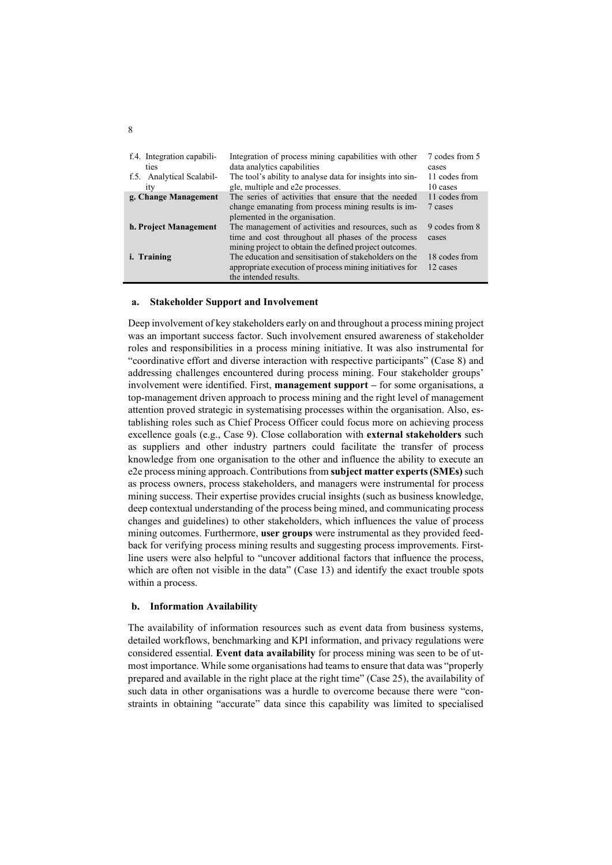| f.4. Integration capabili-<br>ties<br>f.5. Analytical Scalabil-<br>ity | Integration of process mining capabilities with other<br>data analytics capabilities<br>The tool's ability to analyse data for insights into sin-<br>gle, multiple and e2e processes. | 7 codes from 5<br>cases<br>11 codes from<br>10 cases |
|------------------------------------------------------------------------|---------------------------------------------------------------------------------------------------------------------------------------------------------------------------------------|------------------------------------------------------|
| g. Change Management                                                   | The series of activities that ensure that the needed<br>change emanating from process mining results is im-<br>plemented in the organisation.                                         | 11 codes from<br>7 cases                             |
| h. Project Management                                                  | The management of activities and resources, such as<br>time and cost throughout all phases of the process<br>mining project to obtain the defined project outcomes.                   | 9 codes from 8<br>cases                              |
| <i>i.</i> Training                                                     | The education and sensitisation of stakeholders on the<br>appropriate execution of process mining initiatives for<br>the intended results.                                            | 18 codes from<br>12 cases                            |

#### **a. Stakeholder Support and Involvement**

Deep involvement of key stakeholders early on and throughout a process mining project was an important success factor. Such involvement ensured awareness of stakeholder roles and responsibilities in a process mining initiative. It was also instrumental for "coordinative effort and diverse interaction with respective participants" (Case 8) and addressing challenges encountered during process mining. Four stakeholder groups' involvement were identified. First, **management support –** for some organisations, a top-management driven approach to process mining and the right level of management attention proved strategic in systematising processes within the organisation. Also, establishing roles such as Chief Process Officer could focus more on achieving process excellence goals (e.g., Case 9). Close collaboration with **external stakeholders** such as suppliers and other industry partners could facilitate the transfer of process knowledge from one organisation to the other and influence the ability to execute an e2e process mining approach. Contributions from **subject matter experts (SMEs)** such as process owners, process stakeholders, and managers were instrumental for process mining success. Their expertise provides crucial insights (such as business knowledge, deep contextual understanding of the process being mined, and communicating process changes and guidelines) to other stakeholders, which influences the value of process mining outcomes. Furthermore, **user groups** were instrumental as they provided feedback for verifying process mining results and suggesting process improvements. Firstline users were also helpful to "uncover additional factors that influence the process, which are often not visible in the data" (Case 13) and identify the exact trouble spots within a process.

#### **b. Information Availability**

The availability of information resources such as event data from business systems, detailed workflows, benchmarking and KPI information, and privacy regulations were considered essential. **Event data availability** for process mining was seen to be of utmost importance. While some organisations had teams to ensure that data was "properly prepared and available in the right place at the right time" (Case 25), the availability of such data in other organisations was a hurdle to overcome because there were "constraints in obtaining "accurate" data since this capability was limited to specialised

8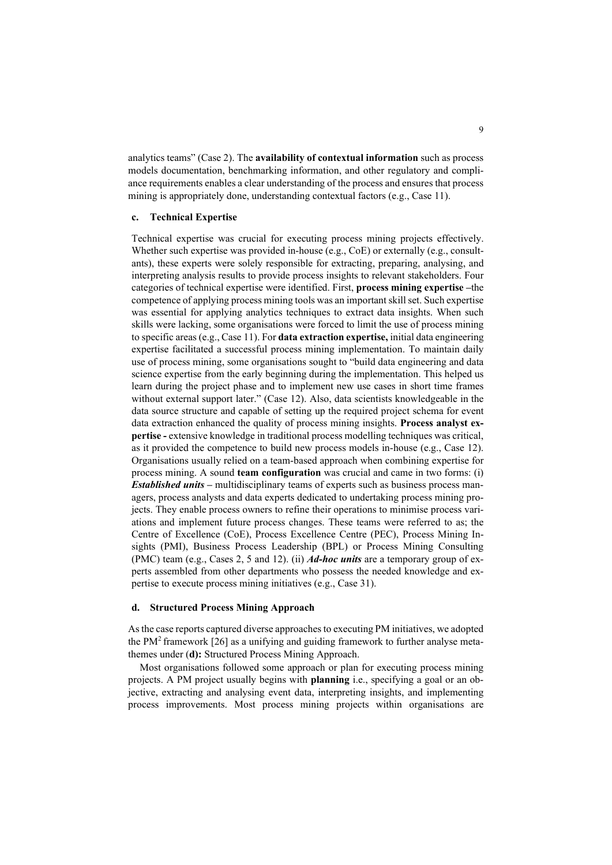analytics teams" (Case 2). The **availability of contextual information** such as process models documentation, benchmarking information, and other regulatory and compliance requirements enables a clear understanding of the process and ensures that process mining is appropriately done, understanding contextual factors (e.g., Case 11).

### **c. Technical Expertise**

Technical expertise was crucial for executing process mining projects effectively. Whether such expertise was provided in-house (e.g., CoE) or externally (e.g., consultants), these experts were solely responsible for extracting, preparing, analysing, and interpreting analysis results to provide process insights to relevant stakeholders. Four categories of technical expertise were identified. First, **process mining expertise –**the competence of applying process mining tools was an important skillset. Such expertise was essential for applying analytics techniques to extract data insights. When such skills were lacking, some organisations were forced to limit the use of process mining to specific areas (e.g., Case 11). For **data extraction expertise,** initial data engineering expertise facilitated a successful process mining implementation. To maintain daily use of process mining, some organisations sought to "build data engineering and data science expertise from the early beginning during the implementation. This helped us learn during the project phase and to implement new use cases in short time frames without external support later." (Case 12). Also, data scientists knowledgeable in the data source structure and capable of setting up the required project schema for event data extraction enhanced the quality of process mining insights. **Process analyst expertise -** extensive knowledge in traditional process modelling techniques was critical, as it provided the competence to build new process models in-house (e.g., Case 12). Organisations usually relied on a team-based approach when combining expertise for process mining. A sound **team configuration** was crucial and came in two forms: (i) *Established units* **–** multidisciplinary teams of experts such as business process managers, process analysts and data experts dedicated to undertaking process mining projects. They enable process owners to refine their operations to minimise process variations and implement future process changes. These teams were referred to as; the Centre of Excellence (CoE), Process Excellence Centre (PEC), Process Mining Insights (PMI), Business Process Leadership (BPL) or Process Mining Consulting (PMC) team (e.g., Cases 2, 5 and 12). (ii) *Ad-hoc units* are a temporary group of experts assembled from other departments who possess the needed knowledge and expertise to execute process mining initiatives (e.g., Case 31).

#### **d. Structured Process Mining Approach**

As the case reports captured diverse approaches to executing PM initiatives, we adopted the PM2 framework [26] as a unifying and guiding framework to further analyse metathemes under (**d):** Structured Process Mining Approach.

Most organisations followed some approach or plan for executing process mining projects. A PM project usually begins with **planning** i.e., specifying a goal or an objective, extracting and analysing event data, interpreting insights, and implementing process improvements. Most process mining projects within organisations are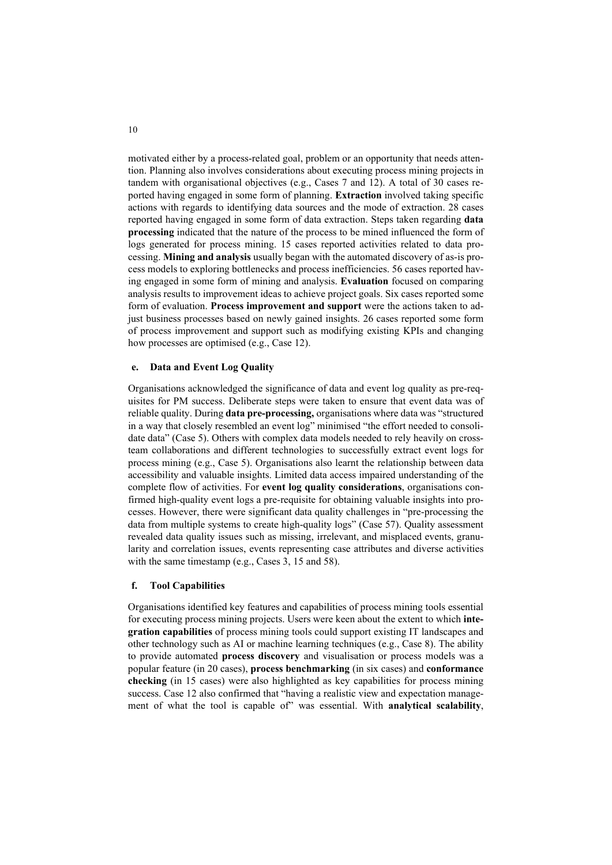motivated either by a process-related goal, problem or an opportunity that needs attention. Planning also involves considerations about executing process mining projects in tandem with organisational objectives (e.g., Cases 7 and 12). A total of 30 cases reported having engaged in some form of planning. **Extraction** involved taking specific actions with regards to identifying data sources and the mode of extraction. 28 cases reported having engaged in some form of data extraction. Steps taken regarding **data processing** indicated that the nature of the process to be mined influenced the form of logs generated for process mining. 15 cases reported activities related to data processing. **Mining and analysis** usually began with the automated discovery of as-is process models to exploring bottlenecks and process inefficiencies. 56 cases reported having engaged in some form of mining and analysis. **Evaluation** focused on comparing analysis results to improvement ideas to achieve project goals. Six cases reported some form of evaluation. **Process improvement and support** were the actions taken to adjust business processes based on newly gained insights. 26 cases reported some form of process improvement and support such as modifying existing KPIs and changing how processes are optimised (e.g., Case 12).

#### **e. Data and Event Log Quality**

Organisations acknowledged the significance of data and event log quality as pre-requisites for PM success. Deliberate steps were taken to ensure that event data was of reliable quality. During **data pre-processing,** organisations where data was "structured in a way that closely resembled an event log" minimised "the effort needed to consolidate data" (Case 5). Others with complex data models needed to rely heavily on crossteam collaborations and different technologies to successfully extract event logs for process mining (e.g., Case 5). Organisations also learnt the relationship between data accessibility and valuable insights. Limited data access impaired understanding of the complete flow of activities. For **event log quality considerations**, organisations confirmed high-quality event logs a pre-requisite for obtaining valuable insights into processes. However, there were significant data quality challenges in "pre-processing the data from multiple systems to create high-quality logs" (Case 57). Quality assessment revealed data quality issues such as missing, irrelevant, and misplaced events, granularity and correlation issues, events representing case attributes and diverse activities with the same timestamp (e.g., Cases 3, 15 and 58).

#### **f. Tool Capabilities**

Organisations identified key features and capabilities of process mining tools essential for executing process mining projects. Users were keen about the extent to which **integration capabilities** of process mining tools could support existing IT landscapes and other technology such as AI or machine learning techniques (e.g., Case 8). The ability to provide automated **process discovery** and visualisation or process models was a popular feature (in 20 cases), **process benchmarking** (in six cases) and **conformance checking** (in 15 cases) were also highlighted as key capabilities for process mining success. Case 12 also confirmed that "having a realistic view and expectation management of what the tool is capable of" was essential. With **analytical scalability**,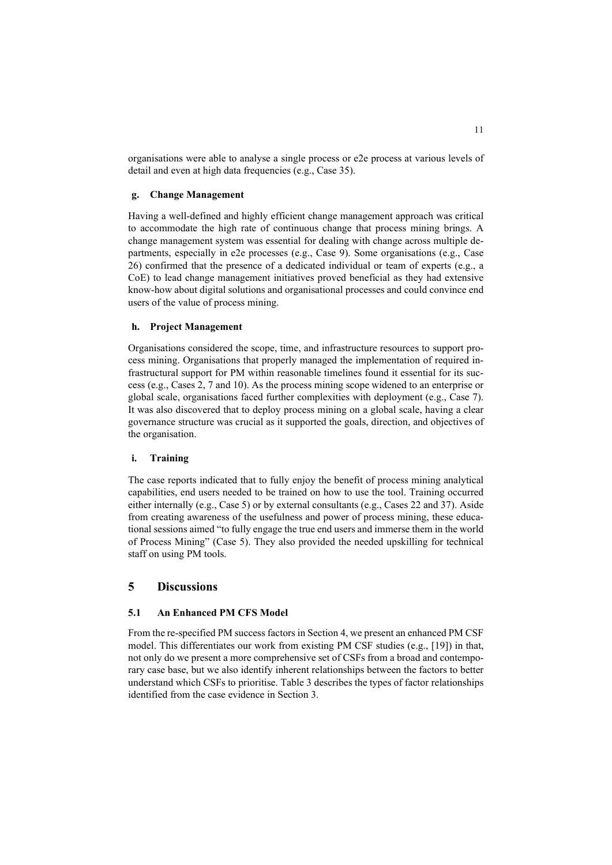organisations were able to analyse a single process or e2e process at various levels of detail and even at high data frequencies (e.g., Case 35).

### **g. Change Management**

Having a well-defined and highly efficient change management approach was critical to accommodate the high rate of continuous change that process mining brings. A change management system was essential for dealing with change across multiple departments, especially in e2e processes (e.g., Case 9). Some organisations (e.g., Case 26) confirmed that the presence of a dedicated individual or team of experts (e.g., a CoE) to lead change management initiatives proved beneficial as they had extensive know-how about digital solutions and organisational processes and could convince end users of the value of process mining.

### **h. Project Management**

Organisations considered the scope, time, and infrastructure resources to support process mining. Organisations that properly managed the implementation of required infrastructural support for PM within reasonable timelines found it essential for its success (e.g., Cases 2, 7 and 10). As the process mining scope widened to an enterprise or global scale, organisations faced further complexities with deployment (e.g., Case 7). It was also discovered that to deploy process mining on a global scale, having a clear governance structure was crucial as it supported the goals, direction, and objectives of the organisation.

### **i. Training**

The case reports indicated that to fully enjoy the benefit of process mining analytical capabilities, end users needed to be trained on how to use the tool. Training occurred either internally (e.g., Case 5) or by external consultants (e.g., Cases 22 and 37). Aside from creating awareness of the usefulness and power of process mining, these educational sessions aimed "to fully engage the true end users and immerse them in the world of Process Mining" (Case 5). They also provided the needed upskilling for technical staff on using PM tools.

### **5 Discussions**

### **5.1 An Enhanced PM CFS Model**

From the re-specified PM success factors in Section 4, we present an enhanced PM CSF model. This differentiates our work from existing PM CSF studies (e.g., [19]) in that, not only do we present a more comprehensive set of CSFs from a broad and contemporary case base, but we also identify inherent relationships between the factors to better understand which CSFs to prioritise. Table 3 describes the types of factor relationships identified from the case evidence in Section 3.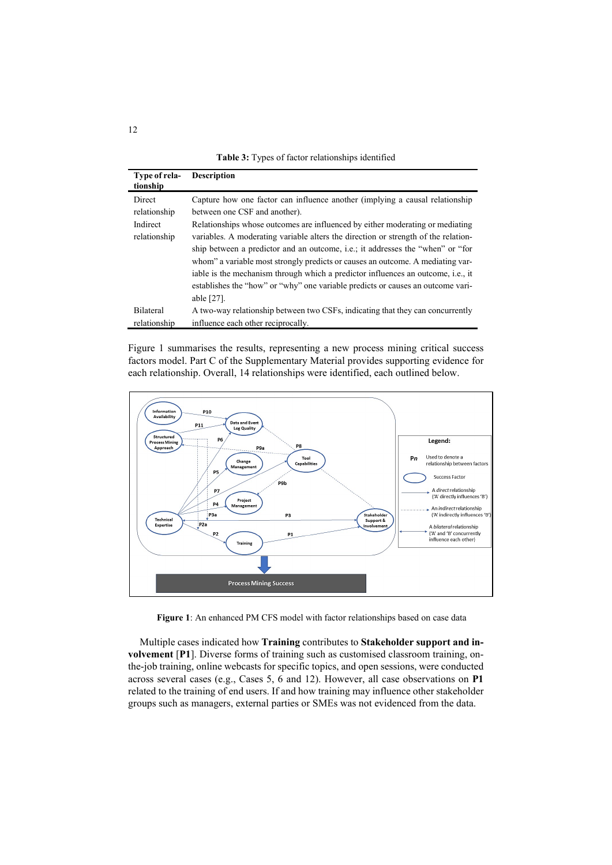| Type of rela-<br>tionship | <b>Description</b>                                                                 |
|---------------------------|------------------------------------------------------------------------------------|
| Direct                    | Capture how one factor can influence another (implying a causal relationship       |
| relationship              | between one CSF and another).                                                      |
| Indirect                  | Relationships whose outcomes are influenced by either moderating or mediating      |
| relationship              | variables. A moderating variable alters the direction or strength of the relation- |
|                           | ship between a predictor and an outcome, i.e.; it addresses the "when" or "for     |
|                           | whom" a variable most strongly predicts or causes an outcome. A mediating var-     |
|                           | iable is the mechanism through which a predictor influences an outcome, i.e., it   |
|                           | establishes the "how" or "why" one variable predicts or causes an outcome vari-    |
|                           | able $[27]$ .                                                                      |
| <b>Bilateral</b>          | A two-way relationship between two CSFs, indicating that they can concurrently     |
| relationship              | influence each other reciprocally.                                                 |

**Table 3:** Types of factor relationships identified

Figure 1 summarises the results, representing a new process mining critical success factors model. Part C of the Supplementary Material provides supporting evidence for each relationship. Overall, 14 relationships were identified, each outlined below.



**Figure 1**: An enhanced PM CFS model with factor relationships based on case data

Multiple cases indicated how **Training** contributes to **Stakeholder support and involvement** [**P1**]. Diverse forms of training such as customised classroom training, onthe-job training, online webcasts for specific topics, and open sessions, were conducted across several cases (e.g., Cases 5, 6 and 12). However, all case observations on **P1** related to the training of end users. If and how training may influence other stakeholder groups such as managers, external parties or SMEs was not evidenced from the data.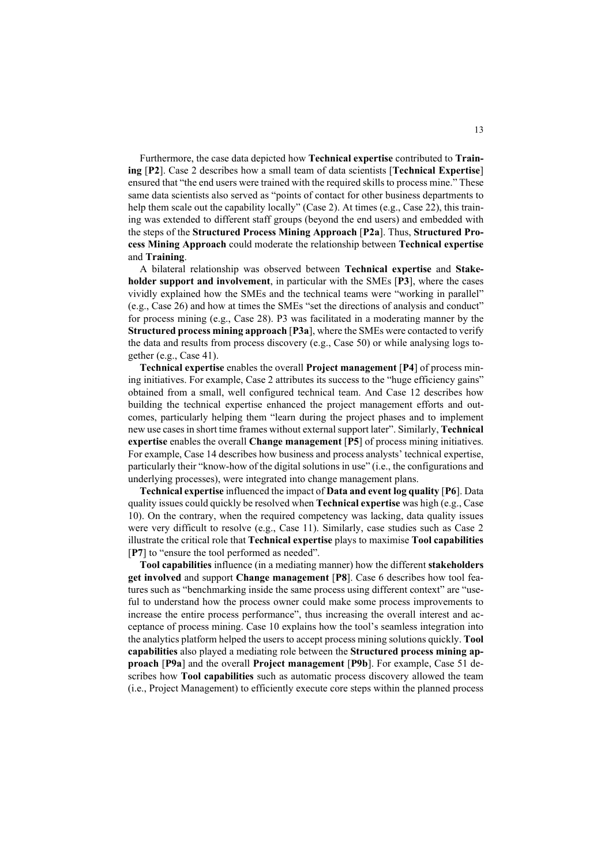Furthermore, the case data depicted how **Technical expertise** contributed to **Training** [**P2**]. Case 2 describes how a small team of data scientists [**Technical Expertise**] ensured that "the end users were trained with the required skills to process mine." These same data scientists also served as "points of contact for other business departments to help them scale out the capability locally" (Case 2). At times (e.g., Case 22), this training was extended to different staff groups (beyond the end users) and embedded with the steps of the **Structured Process Mining Approach** [**P2a**]. Thus, **Structured Process Mining Approach** could moderate the relationship between **Technical expertise** and **Training**.

A bilateral relationship was observed between **Technical expertise** and **Stakeholder support and involvement**, in particular with the SMEs [**P3**], where the cases vividly explained how the SMEs and the technical teams were "working in parallel" (e.g., Case 26) and how at times the SMEs "set the directions of analysis and conduct" for process mining (e.g., Case 28). P3 was facilitated in a moderating manner by the **Structured process mining approach** [**P3a**], where the SMEs were contacted to verify the data and results from process discovery (e.g., Case 50) or while analysing logs together (e.g., Case 41).

**Technical expertise** enables the overall **Project management** [**P4**] of process mining initiatives. For example, Case 2 attributes its success to the "huge efficiency gains" obtained from a small, well configured technical team. And Case 12 describes how building the technical expertise enhanced the project management efforts and outcomes, particularly helping them "learn during the project phases and to implement new use cases in short time frames without external support later". Similarly, **Technical expertise** enables the overall **Change management** [**P5**] of process mining initiatives. For example, Case 14 describes how business and process analysts' technical expertise, particularly their "know-how of the digital solutions in use" (i.e., the configurations and underlying processes), were integrated into change management plans.

**Technical expertise** influenced the impact of **Data and event log quality** [**P6**]. Data quality issues could quickly be resolved when **Technical expertise** was high (e.g., Case 10). On the contrary, when the required competency was lacking, data quality issues were very difficult to resolve (e.g., Case 11). Similarly, case studies such as Case 2 illustrate the critical role that **Technical expertise** plays to maximise **Tool capabilities** [**P7**] to "ensure the tool performed as needed".

**Tool capabilities** influence (in a mediating manner) how the different **stakeholders get involved** and support **Change management** [**P8**]. Case 6 describes how tool features such as "benchmarking inside the same process using different context" are "useful to understand how the process owner could make some process improvements to increase the entire process performance", thus increasing the overall interest and acceptance of process mining. Case 10 explains how the tool's seamless integration into the analytics platform helped the users to accept process mining solutions quickly. **Tool capabilities** also played a mediating role between the **Structured process mining approach** [**P9a**] and the overall **Project management** [**P9b**]. For example, Case 51 describes how **Tool capabilities** such as automatic process discovery allowed the team (i.e., Project Management) to efficiently execute core steps within the planned process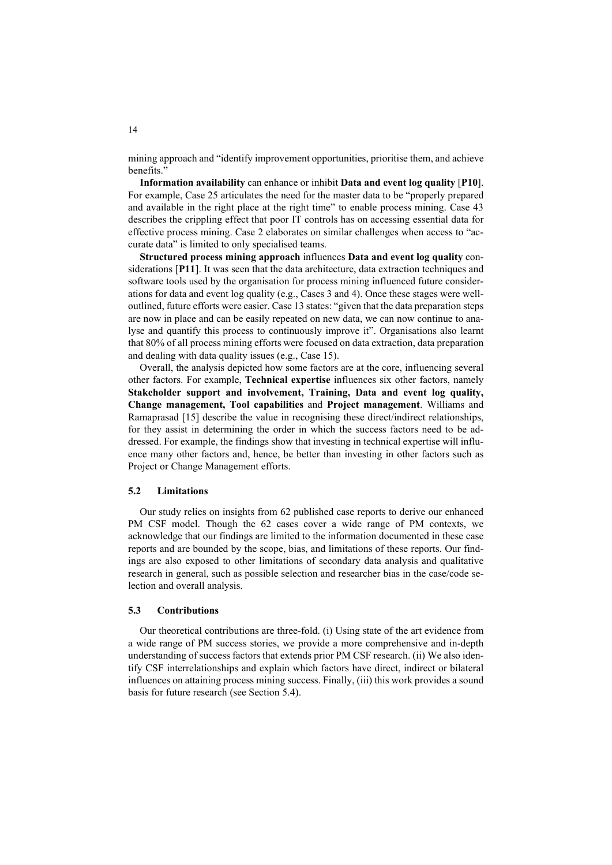mining approach and "identify improvement opportunities, prioritise them, and achieve benefits."

**Information availability** can enhance or inhibit **Data and event log quality** [**P10**]. For example, Case 25 articulates the need for the master data to be "properly prepared and available in the right place at the right time" to enable process mining. Case 43 describes the crippling effect that poor IT controls has on accessing essential data for effective process mining. Case 2 elaborates on similar challenges when access to "accurate data" is limited to only specialised teams.

**Structured process mining approach** influences **Data and event log quality** considerations [**P11**]. It was seen that the data architecture, data extraction techniques and software tools used by the organisation for process mining influenced future considerations for data and event log quality (e.g., Cases 3 and 4). Once these stages were welloutlined, future efforts were easier. Case 13 states: "given that the data preparation steps are now in place and can be easily repeated on new data, we can now continue to analyse and quantify this process to continuously improve it". Organisations also learnt that 80% of all process mining efforts were focused on data extraction, data preparation and dealing with data quality issues (e.g., Case 15).

Overall, the analysis depicted how some factors are at the core, influencing several other factors. For example, **Technical expertise** influences six other factors, namely **Stakeholder support and involvement, Training, Data and event log quality, Change management, Tool capabilities** and **Project management**. Williams and Ramaprasad [15] describe the value in recognising these direct/indirect relationships, for they assist in determining the order in which the success factors need to be addressed. For example, the findings show that investing in technical expertise will influence many other factors and, hence, be better than investing in other factors such as Project or Change Management efforts.

### **5.2 Limitations**

Our study relies on insights from 62 published case reports to derive our enhanced PM CSF model. Though the 62 cases cover a wide range of PM contexts, we acknowledge that our findings are limited to the information documented in these case reports and are bounded by the scope, bias, and limitations of these reports. Our findings are also exposed to other limitations of secondary data analysis and qualitative research in general, such as possible selection and researcher bias in the case/code selection and overall analysis.

#### **5.3 Contributions**

Our theoretical contributions are three-fold. (i) Using state of the art evidence from a wide range of PM success stories, we provide a more comprehensive and in-depth understanding of success factors that extends prior PM CSF research. (ii) We also identify CSF interrelationships and explain which factors have direct, indirect or bilateral influences on attaining process mining success. Finally, (iii) this work provides a sound basis for future research (see Section 5.4).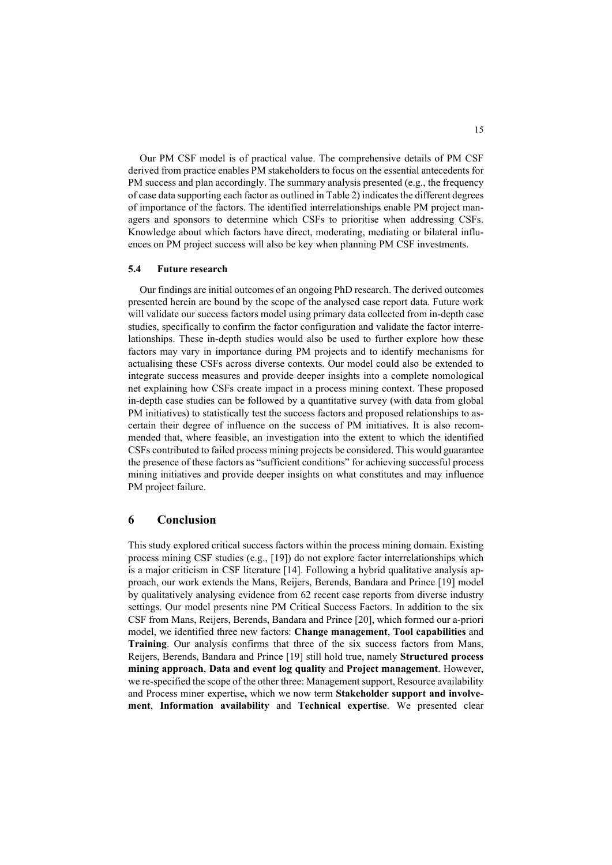Our PM CSF model is of practical value. The comprehensive details of PM CSF derived from practice enables PM stakeholders to focus on the essential antecedents for PM success and plan accordingly. The summary analysis presented (e.g., the frequency of case data supporting each factor as outlined in Table 2) indicates the different degrees of importance of the factors. The identified interrelationships enable PM project managers and sponsors to determine which CSFs to prioritise when addressing CSFs. Knowledge about which factors have direct, moderating, mediating or bilateral influences on PM project success will also be key when planning PM CSF investments.

#### **5.4 Future research**

Our findings are initial outcomes of an ongoing PhD research. The derived outcomes presented herein are bound by the scope of the analysed case report data. Future work will validate our success factors model using primary data collected from in-depth case studies, specifically to confirm the factor configuration and validate the factor interrelationships. These in-depth studies would also be used to further explore how these factors may vary in importance during PM projects and to identify mechanisms for actualising these CSFs across diverse contexts. Our model could also be extended to integrate success measures and provide deeper insights into a complete nomological net explaining how CSFs create impact in a process mining context. These proposed in-depth case studies can be followed by a quantitative survey (with data from global PM initiatives) to statistically test the success factors and proposed relationships to ascertain their degree of influence on the success of PM initiatives. It is also recommended that, where feasible, an investigation into the extent to which the identified CSFs contributed to failed process mining projects be considered. This would guarantee the presence of these factors as "sufficient conditions" for achieving successful process mining initiatives and provide deeper insights on what constitutes and may influence PM project failure.

### **6 Conclusion**

This study explored critical success factors within the process mining domain. Existing process mining CSF studies (e.g., [19]) do not explore factor interrelationships which is a major criticism in CSF literature [14]. Following a hybrid qualitative analysis approach, our work extends the Mans, Reijers, Berends, Bandara and Prince [19] model by qualitatively analysing evidence from 62 recent case reports from diverse industry settings. Our model presents nine PM Critical Success Factors. In addition to the six CSF from Mans, Reijers, Berends, Bandara and Prince [20], which formed our a-priori model, we identified three new factors: **Change management**, **Tool capabilities** and **Training**. Our analysis confirms that three of the six success factors from Mans, Reijers, Berends, Bandara and Prince [19] still hold true, namely **Structured process mining approach**, **Data and event log quality** and **Project management**. However, we re-specified the scope of the other three: Management support, Resource availability and Process miner expertise**,** which we now term **Stakeholder support and involvement**, **Information availability** and **Technical expertise**. We presented clear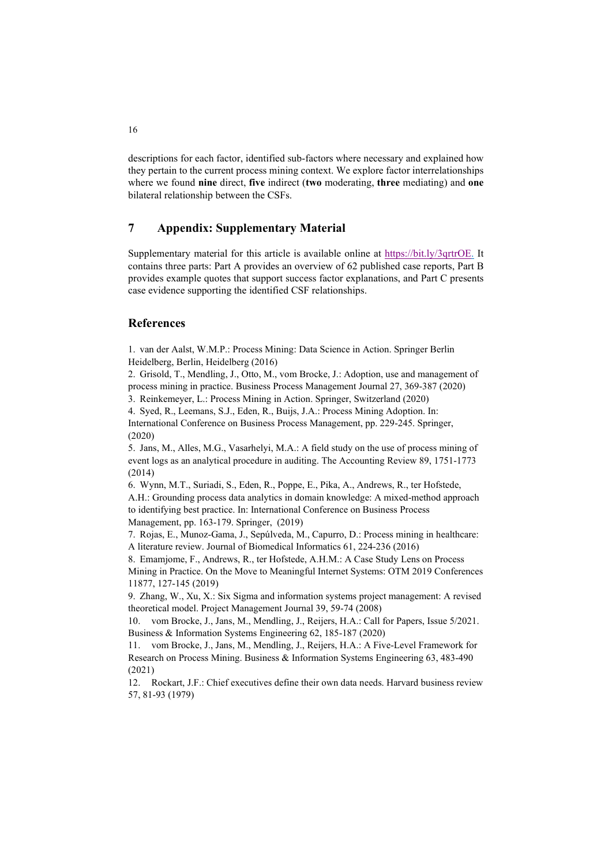descriptions for each factor, identified sub-factors where necessary and explained how they pertain to the current process mining context. We explore factor interrelationships where we found **nine** direct, **five** indirect (**two** moderating, **three** mediating) and **one** bilateral relationship between the CSFs.

### **7 Appendix: Supplementary Material**

Supplementary material for this article is available online at [https://bit.ly/3qrtrOE.](https://drive.google.com/file/d/1GJ2m1-wD4jlV4EsYKma81XvfES_ZiJaV/view) It contains three parts: Part A provides an overview of 62 published case reports, Part B provides example quotes that support success factor explanations, and Part C presents case evidence supporting the identified CSF relationships.

# **References**

1. van der Aalst, W.M.P.: Process Mining: Data Science in Action. Springer Berlin Heidelberg, Berlin, Heidelberg (2016)

2. Grisold, T., Mendling, J., Otto, M., vom Brocke, J.: Adoption, use and management of process mining in practice. Business Process Management Journal 27, 369-387 (2020)

3. Reinkemeyer, L.: Process Mining in Action. Springer, Switzerland (2020)

4. Syed, R., Leemans, S.J., Eden, R., Buijs, J.A.: Process Mining Adoption. In: International Conference on Business Process Management, pp. 229-245. Springer, (2020)

5. Jans, M., Alles, M.G., Vasarhelyi, M.A.: A field study on the use of process mining of event logs as an analytical procedure in auditing. The Accounting Review 89, 1751-1773 (2014)

6. Wynn, M.T., Suriadi, S., Eden, R., Poppe, E., Pika, A., Andrews, R., ter Hofstede, A.H.: Grounding process data analytics in domain knowledge: A mixed-method approach to identifying best practice. In: International Conference on Business Process Management, pp. 163-179. Springer, (2019)

7. Rojas, E., Munoz-Gama, J., Sepúlveda, M., Capurro, D.: Process mining in healthcare: A literature review. Journal of Biomedical Informatics 61, 224-236 (2016)

8. Emamjome, F., Andrews, R., ter Hofstede, A.H.M.: A Case Study Lens on Process Mining in Practice. On the Move to Meaningful Internet Systems: OTM 2019 Conferences 11877, 127-145 (2019)

9. Zhang, W., Xu, X.: Six Sigma and information systems project management: A revised theoretical model. Project Management Journal 39, 59-74 (2008)

10. vom Brocke, J., Jans, M., Mendling, J., Reijers, H.A.: Call for Papers, Issue 5/2021. Business & Information Systems Engineering 62, 185-187 (2020)

11. vom Brocke, J., Jans, M., Mendling, J., Reijers, H.A.: A Five-Level Framework for Research on Process Mining. Business & Information Systems Engineering 63, 483-490 (2021)

12. Rockart, J.F.: Chief executives define their own data needs. Harvard business review 57, 81-93 (1979)